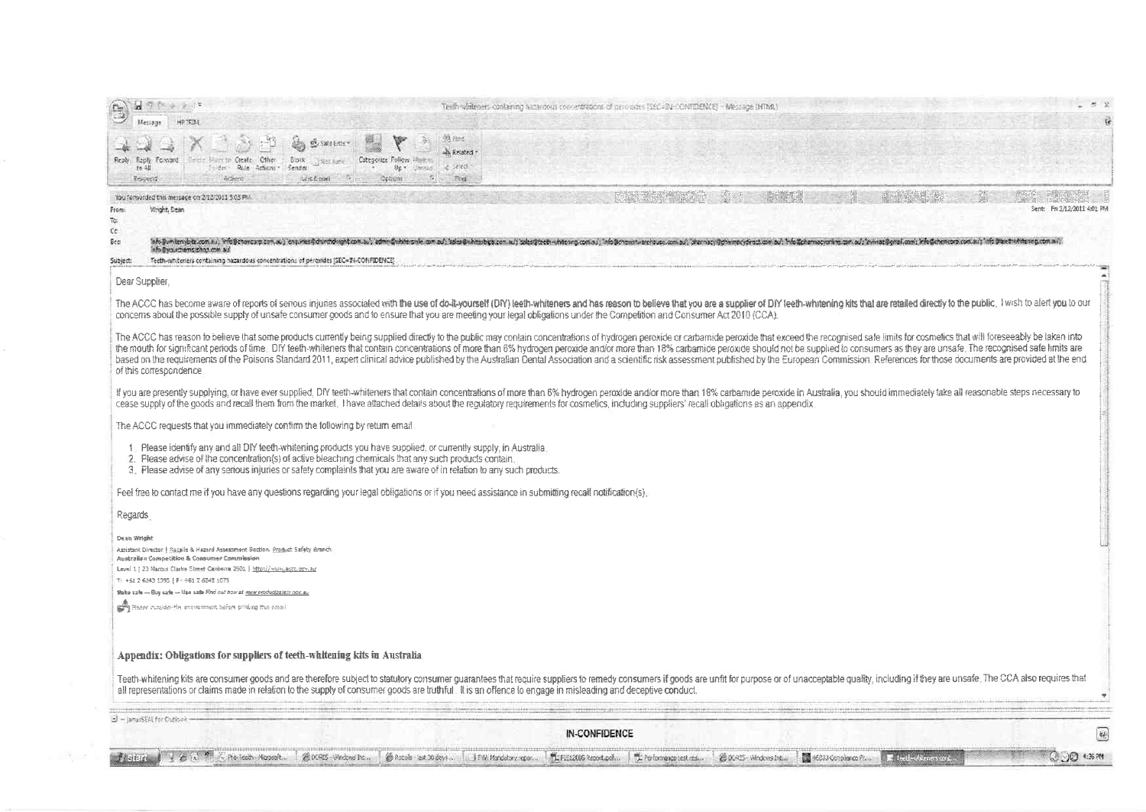| Other<br>Binck<br>Categorize Follow<br>Repty<br><b>Froly Foxvard</b><br>Create<br><b>CHAN Kany</b><br>Rule Actions<br>Sender<br>TO 48<br>Foldes-<br>Artistrat<br>mont-E-mail<br>Opliumi<br>Resperted                                                                                                                                              | A. Related<br>$\geq 2$ and<br>Up * Ummer.<br>Fixa                                                                                                                                                                                                                                                                                                                                                                                                                                                                                                                                                                                                                                                                                                                                                                                                                                                                                                                                                                                                                                                                |
|---------------------------------------------------------------------------------------------------------------------------------------------------------------------------------------------------------------------------------------------------------------------------------------------------------------------------------------------------|------------------------------------------------------------------------------------------------------------------------------------------------------------------------------------------------------------------------------------------------------------------------------------------------------------------------------------------------------------------------------------------------------------------------------------------------------------------------------------------------------------------------------------------------------------------------------------------------------------------------------------------------------------------------------------------------------------------------------------------------------------------------------------------------------------------------------------------------------------------------------------------------------------------------------------------------------------------------------------------------------------------------------------------------------------------------------------------------------------------|
| You forwarded this message on 2/12/2011 5:03 PM.<br>Whaht, Dean<br>From:<br>ī¢.<br>C¢.<br>Bcc<br>info@yourchems@hop.com auf<br>Teeth-whiteners containing hazardous concentrations of peroxides (SEC=IN-CONFIDENCE)<br>Subject:                                                                                                                   | Sent: F# 3/12/2011 4:01 9%<br>info@wntemplot.com.ki, info@formowntemplot.com/tom.ku/.edmcQuitiescile.com.ku/.seles@ukdestop.com.ku/.ide@crems.ki/info?crems.com.ku/.ide@crems.com.ku/.ide@crems.com.ku/.ide@crems.com.ku/.ide@crems.com.ku/.ide@crems.com.ku                                                                                                                                                                                                                                                                                                                                                                                                                                                                                                                                                                                                                                                                                                                                                                                                                                                     |
| Dear Supplier.                                                                                                                                                                                                                                                                                                                                    |                                                                                                                                                                                                                                                                                                                                                                                                                                                                                                                                                                                                                                                                                                                                                                                                                                                                                                                                                                                                                                                                                                                  |
|                                                                                                                                                                                                                                                                                                                                                   | The ACCC has become aware of reports of serious injuries associated with the use of do-it-yourself (DR') leelth-whiteners and has reason to believe that you are a supplier of DIY leeth-whitening kits that are retailed dire<br>concerns about the possible supply of unsafe consumer goods and to ensure that you are meeting your legal obligations under the Competition and Consumer Act 2010 (CCA).<br>The ACCC has reason to believe that some products currently being supplied directly to the public may contain concentrations of hydrogen peroxide or carbamide peroxide that exceed the recognised safe limits for cosmetics t<br>the mouth for significant periods of time. DfY teeth-whiteners that contain concentrations of more than 6% hydrogen peroxide and/or more than 18% carbamide peroxide should not be supplied to consumers as they are unsafe. T<br>based on the requirements of the Poisons Standard 2011, expert clinical advice published by the Australian Dental Association and a scientific risk assessment published by the European Commission. References for those docu |
| of this correspondence<br>The ACCC requests that you immediately confirm the following by return email                                                                                                                                                                                                                                            | If you are presently supplying, or have ever supplied, DIY teeth-whiteners that contain concentrations of more than 6% hydrogen peroxide and/or more than 18% carbamide peroxide in Australia, you should immediately take all<br>cease supply of the goods and recall them from the market. Thave attached details about the requirements for cosmetics, including suppliers' recall obligations as an appendix.                                                                                                                                                                                                                                                                                                                                                                                                                                                                                                                                                                                                                                                                                                |
| Please identify any and all DIY teeth-whitening products you have supplied, or currently supply, in Australia.<br>2. Please advise of the concentration(s) of active bleaching chemicals that any such products contain.<br>3. Please advise of any serious injuries or safety complaints that you are aware of in relation to any such products. |                                                                                                                                                                                                                                                                                                                                                                                                                                                                                                                                                                                                                                                                                                                                                                                                                                                                                                                                                                                                                                                                                                                  |
| Feel free to contact me if you have any questions regarding your legal obligations or if you need assistance in submitting recall notification(s).                                                                                                                                                                                                |                                                                                                                                                                                                                                                                                                                                                                                                                                                                                                                                                                                                                                                                                                                                                                                                                                                                                                                                                                                                                                                                                                                  |
| Regards                                                                                                                                                                                                                                                                                                                                           |                                                                                                                                                                                                                                                                                                                                                                                                                                                                                                                                                                                                                                                                                                                                                                                                                                                                                                                                                                                                                                                                                                                  |
| Deap Wright<br>Azeistant Director   Sacalis & Hazard Assessment Bection, Product Safety Branch<br>Australian Competition & Consumer Commission<br>Level 1   23 Marcus Clarke Street Canberra 2601   http://www.actc.cov.ag<br>T: +61 2 6243 1395   F: +61 Z 6243 1073                                                                             |                                                                                                                                                                                                                                                                                                                                                                                                                                                                                                                                                                                                                                                                                                                                                                                                                                                                                                                                                                                                                                                                                                                  |
| Make szłe - Buy safe - Usa safe Find out how at mew productivisty nov. au<br>provided the consistent the environment before printing than amount                                                                                                                                                                                                  |                                                                                                                                                                                                                                                                                                                                                                                                                                                                                                                                                                                                                                                                                                                                                                                                                                                                                                                                                                                                                                                                                                                  |
| Appendix: Obligations for suppliers of teeth-whitening kits in Australia                                                                                                                                                                                                                                                                          |                                                                                                                                                                                                                                                                                                                                                                                                                                                                                                                                                                                                                                                                                                                                                                                                                                                                                                                                                                                                                                                                                                                  |
|                                                                                                                                                                                                                                                                                                                                                   | Teeth-whitening kits are consumer goods and are therefore subject to statulory consumer guarantees that require suppliers to remedy consumers if goods are unfit for purpose or of unacceptable quality, including if they are<br>all representations or claims made in relation to the supply of consumer goods are truthful. It is an offence to engage in misleading and deceptive conduct                                                                                                                                                                                                                                                                                                                                                                                                                                                                                                                                                                                                                                                                                                                    |
|                                                                                                                                                                                                                                                                                                                                                   |                                                                                                                                                                                                                                                                                                                                                                                                                                                                                                                                                                                                                                                                                                                                                                                                                                                                                                                                                                                                                                                                                                                  |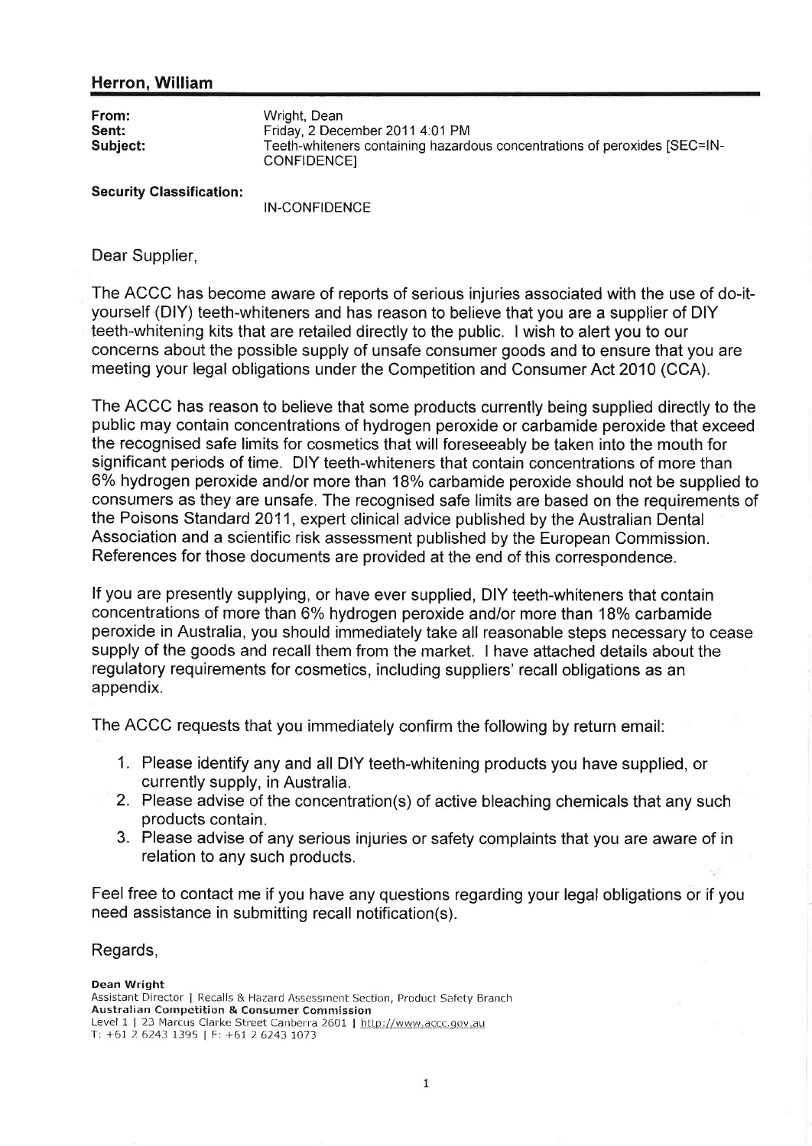## Herron, William

| Wright, Dean<br>Friday, 2 December 2011 4:01 PM<br>Teeth-whiteners containing hazardous concentrations of peroxides [SEC=IN-<br>CONFIDENCE) |
|---------------------------------------------------------------------------------------------------------------------------------------------|
|                                                                                                                                             |
|                                                                                                                                             |

**Security Classification:** 

**IN-CONFIDENCE** 

Dear Supplier,

The ACCC has become aware of reports of serious injuries associated with the use of do-ityourself (DIY) teeth-whiteners and has reason to believe that you are a supplier of DIY teeth-whitening kits that are retailed directly to the public. I wish to alert you to our concerns about the possible supply of unsafe consumer goods and to ensure that you are meeting your legal obligations under the Competition and Consumer Act 2010 (CCA).

The ACCC has reason to believe that some products currently being supplied directly to the public may contain concentrations of hydrogen peroxide or carbamide peroxide that exceed the recognised safe limits for cosmetics that will foreseeably be taken into the mouth for significant periods of time. DIY teeth-whiteners that contain concentrations of more than 6% hydrogen peroxide and/or more than 18% carbamide peroxide should not be supplied to consumers as they are unsafe. The recognised safe limits are based on the requirements of the Poisons Standard 2011, expert clinical advice published by the Australian Dental Association and a scientific risk assessment published by the European Commission. References for those documents are provided at the end of this correspondence.

If you are presently supplying, or have ever supplied, DIY teeth-whiteners that contain concentrations of more than 6% hydrogen peroxide and/or more than 18% carbamide peroxide in Australia, you should immediately take all reasonable steps necessary to cease supply of the goods and recall them from the market. I have attached details about the regulatory requirements for cosmetics, including suppliers' recall obligations as an appendix.

The ACCC requests that you immediately confirm the following by return email:

- 1. Please identify any and all DIY teeth-whitening products you have supplied, or currently supply, in Australia.
- 2. Please advise of the concentration(s) of active bleaching chemicals that any such products contain.
- 3. Please advise of any serious injuries or safety complaints that you are aware of in relation to any such products.

Feel free to contact me if you have any questions regarding your legal obligations or if you need assistance in submitting recall notification(s).

## Regards,